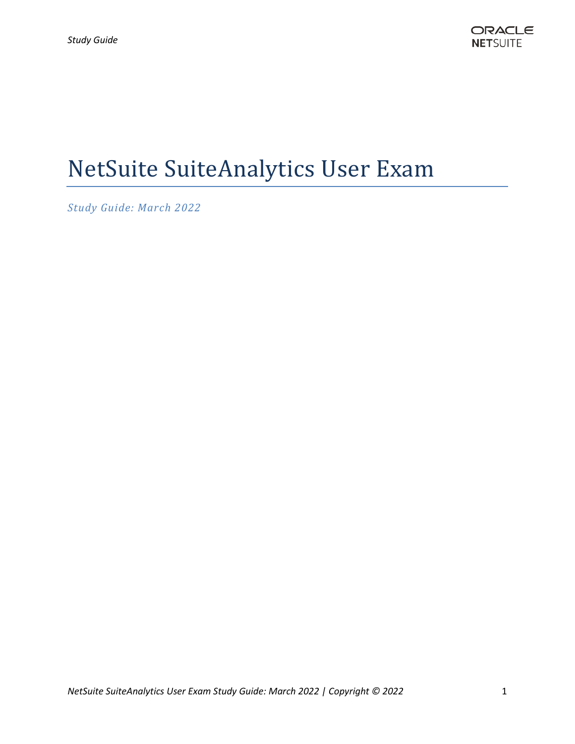# NetSuite SuiteAnalytics User Exam

*Study Guide: March 2022*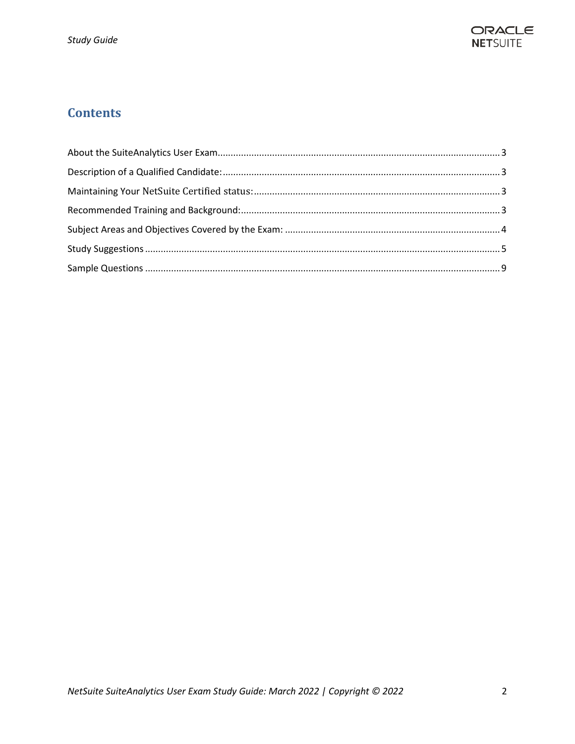

# **Contents**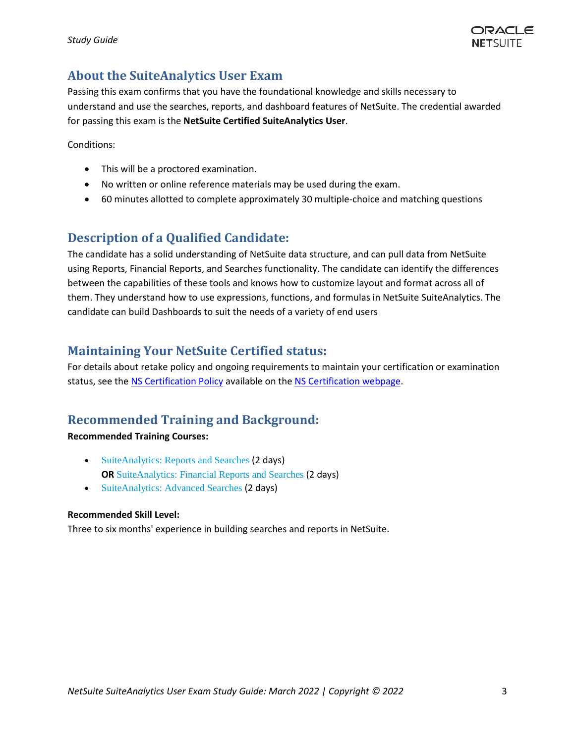

## <span id="page-2-0"></span>**About the SuiteAnalytics User Exam**

Passing this exam confirms that you have the foundational knowledge and skills necessary to understand and use the searches, reports, and dashboard features of NetSuite. The credential awarded for passing this exam is the **NetSuite Certified SuiteAnalytics User**.

Conditions:

- This will be a proctored examination.
- No written or online reference materials may be used during the exam.
- 60 minutes allotted to complete approximately 30 multiple-choice and matching questions

## <span id="page-2-1"></span>**Description of a Qualified Candidate:**

The candidate has a solid understanding of NetSuite data structure, and can pull data from NetSuite using Reports, Financial Reports, and Searches functionality. The candidate can identify the differences between the capabilities of these tools and knows how to customize layout and format across all of them. They understand how to use expressions, functions, and formulas in NetSuite SuiteAnalytics. The candidate can build Dashboards to suit the needs of a variety of end users

### <span id="page-2-2"></span>**Maintaining Your NetSuite Certified status:**

For details about retake policy and ongoing requirements to maintain your certification or examination status, see th[e NS Certification Policy](https://nlcorp.app.netsuite.com/core/media/media.nl?id=10263318&c=NLCORP&h=85a2c6855f4bceb543de&_xt=.pdf&vid=NssTkZiuAqSrhUqg&chrole=17&ck=A8sT4JiuAqKrhWgJ&cktime=175790&promocode=&promocodeaction=overwrite&sj=wR4lSDaypsJeD0uCGk2Q6Zsxb%3B1591912645%3B908834000) available on th[e NS Certification webpage.](https://www.netsuite.com/portal/services/training/suite-training/netsuite-certification.shtml)

### <span id="page-2-3"></span>**Recommended Training and Background:**

#### **Recommended Training Courses:**

- [SuiteAnalytics: Reports and Searches](https://www.netsuite.com/portal/services/training/suite-training/description-suite-analytics-reports-and-searches.shtml) (2 days) **OR** [SuiteAnalytics: Financial Reports and Searches](http://www.netsuite.com/portal/services/training/description-suite-analytics-financial-report.shtml) (2 days)
- [SuiteAnalytics: Advanced Searches](https://www.netsuite.com/portal/services/training/suite-training/description-suite-analytics-advanced-searches.shtml) (2 days)

#### **Recommended Skill Level:**

Three to six months' experience in building searches and reports in NetSuite.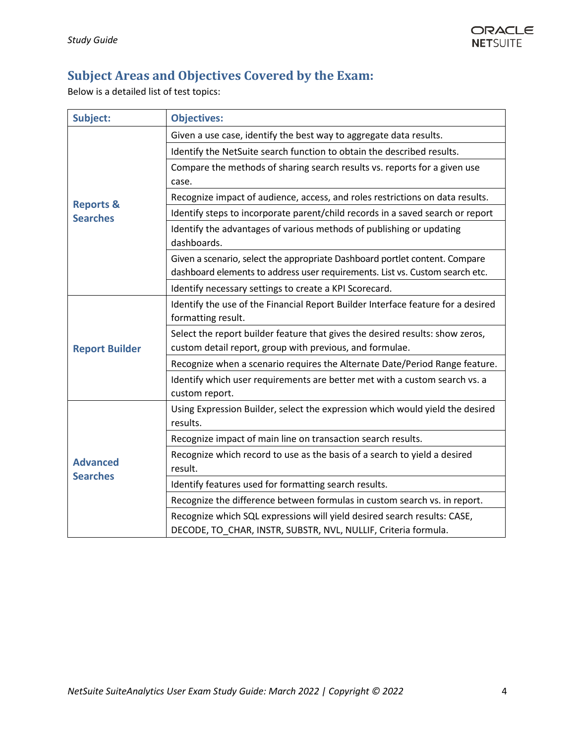# <span id="page-3-0"></span>**Subject Areas and Objectives Covered by the Exam:**

Below is a detailed list of test topics:

| Subject:                                | <b>Objectives:</b>                                                                                     |
|-----------------------------------------|--------------------------------------------------------------------------------------------------------|
| <b>Reports &amp;</b><br><b>Searches</b> | Given a use case, identify the best way to aggregate data results.                                     |
|                                         | Identify the NetSuite search function to obtain the described results.                                 |
|                                         | Compare the methods of sharing search results vs. reports for a given use                              |
|                                         | case.                                                                                                  |
|                                         | Recognize impact of audience, access, and roles restrictions on data results.                          |
|                                         | Identify steps to incorporate parent/child records in a saved search or report                         |
|                                         | Identify the advantages of various methods of publishing or updating<br>dashboards.                    |
|                                         | Given a scenario, select the appropriate Dashboard portlet content. Compare                            |
|                                         | dashboard elements to address user requirements. List vs. Custom search etc.                           |
|                                         | Identify necessary settings to create a KPI Scorecard.                                                 |
| <b>Report Builder</b>                   | Identify the use of the Financial Report Builder Interface feature for a desired<br>formatting result. |
|                                         | Select the report builder feature that gives the desired results: show zeros,                          |
|                                         | custom detail report, group with previous, and formulae.                                               |
|                                         | Recognize when a scenario requires the Alternate Date/Period Range feature.                            |
|                                         | Identify which user requirements are better met with a custom search vs. a<br>custom report.           |
| <b>Advanced</b><br><b>Searches</b>      | Using Expression Builder, select the expression which would yield the desired                          |
|                                         | results.                                                                                               |
|                                         | Recognize impact of main line on transaction search results.                                           |
|                                         | Recognize which record to use as the basis of a search to yield a desired                              |
|                                         | result.                                                                                                |
|                                         | Identify features used for formatting search results.                                                  |
|                                         | Recognize the difference between formulas in custom search vs. in report.                              |
|                                         | Recognize which SQL expressions will yield desired search results: CASE,                               |
|                                         | DECODE, TO CHAR, INSTR, SUBSTR, NVL, NULLIF, Criteria formula.                                         |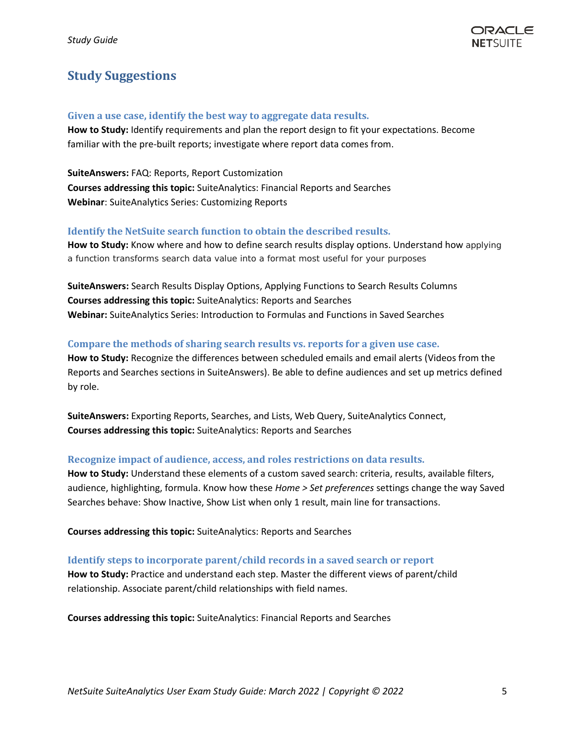# <span id="page-4-0"></span>**Study Suggestions**

#### **Given a use case, identify the best way to aggregate data results.**

**How to Study:** Identify requirements and plan the report design to fit your expectations. Become familiar with the pre-built reports; investigate where report data comes from.

**SuiteAnswers:** FAQ: Reports, Report Customization **Courses addressing this topic:** SuiteAnalytics: Financial Reports and Searches **Webinar**: SuiteAnalytics Series: Customizing Reports

#### **Identify the NetSuite search function to obtain the described results.**

**How to Study:** Know where and how to define search results display options. Understand how applying a function transforms search data value into a format most useful for your purposes

**SuiteAnswers:** Search Results Display Options, Applying Functions to Search Results Columns **Courses addressing this topic:** SuiteAnalytics: Reports and Searches **Webinar:** SuiteAnalytics Series: Introduction to Formulas and Functions in Saved Searches

#### **Compare the methods of sharing search results vs. reports for a given use case.**

**How to Study:** Recognize the differences between scheduled emails and email alerts (Videos from the Reports and Searches sections in SuiteAnswers). Be able to define audiences and set up metrics defined by role.

**SuiteAnswers:** Exporting Reports, Searches, and Lists, Web Query, SuiteAnalytics Connect, **Courses addressing this topic:** SuiteAnalytics: Reports and Searches

#### **Recognize impact of audience, access, and roles restrictions on data results.**

**How to Study:** Understand these elements of a custom saved search: criteria, results, available filters, audience, highlighting, formula. Know how these *Home > Set preferences* settings change the way Saved Searches behave: Show Inactive, Show List when only 1 result, main line for transactions.

**Courses addressing this topic:** SuiteAnalytics: Reports and Searches

#### **Identify steps to incorporate parent/child records in a saved search or report**

**How to Study:** Practice and understand each step. Master the different views of parent/child relationship. Associate parent/child relationships with field names.

**Courses addressing this topic:** SuiteAnalytics: Financial Reports and Searches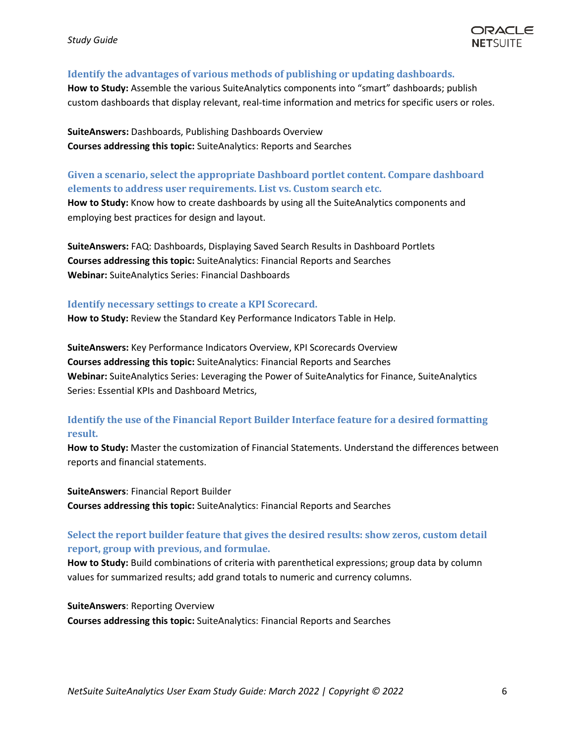

#### **Identify the advantages of various methods of publishing or updating dashboards.**

**How to Study:** Assemble the various SuiteAnalytics components into "smart" dashboards; publish custom dashboards that display relevant, real-time information and metrics for specific users or roles.

**SuiteAnswers:** Dashboards, Publishing Dashboards Overview **Courses addressing this topic:** SuiteAnalytics: Reports and Searches

#### **Given a scenario, select the appropriate Dashboard portlet content. Compare dashboard elements to address user requirements. List vs. Custom search etc.**

**How to Study:** Know how to create dashboards by using all the SuiteAnalytics components and employing best practices for design and layout.

**SuiteAnswers:** FAQ: Dashboards, Displaying Saved Search Results in Dashboard Portlets **Courses addressing this topic:** SuiteAnalytics: Financial Reports and Searches **Webinar:** SuiteAnalytics Series: Financial Dashboards

#### **Identify necessary settings to create a KPI Scorecard.**

**How to Study:** Review the Standard Key Performance Indicators Table in Help.

**SuiteAnswers:** Key Performance Indicators Overview, KPI Scorecards Overview **Courses addressing this topic:** SuiteAnalytics: Financial Reports and Searches **Webinar:** SuiteAnalytics Series: Leveraging the Power of SuiteAnalytics for Finance, SuiteAnalytics Series: Essential KPIs and Dashboard Metrics,

#### **Identify the use of the Financial Report Builder Interface feature for a desired formatting result.**

**How to Study:** Master the customization of Financial Statements. Understand the differences between reports and financial statements.

**SuiteAnswers**: Financial Report Builder **Courses addressing this topic:** SuiteAnalytics: Financial Reports and Searches

#### **Select the report builder feature that gives the desired results: show zeros, custom detail report, group with previous, and formulae.**

**How to Study:** Build combinations of criteria with parenthetical expressions; group data by column values for summarized results; add grand totals to numeric and currency columns.

**SuiteAnswers**: Reporting Overview **Courses addressing this topic:** SuiteAnalytics: Financial Reports and Searches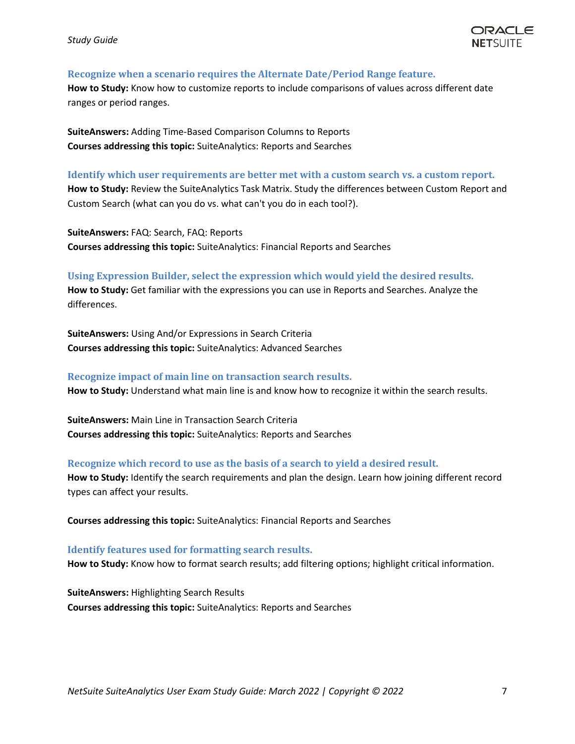#### **Recognize when a scenario requires the Alternate Date/Period Range feature.**

**How to Study:** Know how to customize reports to include comparisons of values across different date ranges or period ranges.

**SuiteAnswers:** Adding Time-Based Comparison Columns to Reports **Courses addressing this topic:** SuiteAnalytics: Reports and Searches

#### **Identify which user requirements are better met with a custom search vs. a custom report.**

**How to Study:** Review the SuiteAnalytics Task Matrix. Study the differences between Custom Report and Custom Search (what can you do vs. what can't you do in each tool?).

**SuiteAnswers:** FAQ: Search, FAQ: Reports **Courses addressing this topic:** SuiteAnalytics: Financial Reports and Searches

#### **Using Expression Builder, select the expression which would yield the desired results.**

**How to Study:** Get familiar with the expressions you can use in Reports and Searches. Analyze the differences.

**SuiteAnswers:** Using And/or Expressions in Search Criteria **Courses addressing this topic:** SuiteAnalytics: Advanced Searches

#### **Recognize impact of main line on transaction search results.**

**How to Study:** Understand what main line is and know how to recognize it within the search results.

**SuiteAnswers:** Main Line in Transaction Search Criteria **Courses addressing this topic:** SuiteAnalytics: Reports and Searches

#### **Recognize which record to use as the basis of a search to yield a desired result.**

**How to Study:** Identify the search requirements and plan the design. Learn how joining different record types can affect your results.

**Courses addressing this topic:** SuiteAnalytics: Financial Reports and Searches

#### **Identify features used for formatting search results.**

**How to Study:** Know how to format search results; add filtering options; highlight critical information.

**SuiteAnswers:** Highlighting Search Results **Courses addressing this topic:** SuiteAnalytics: Reports and Searches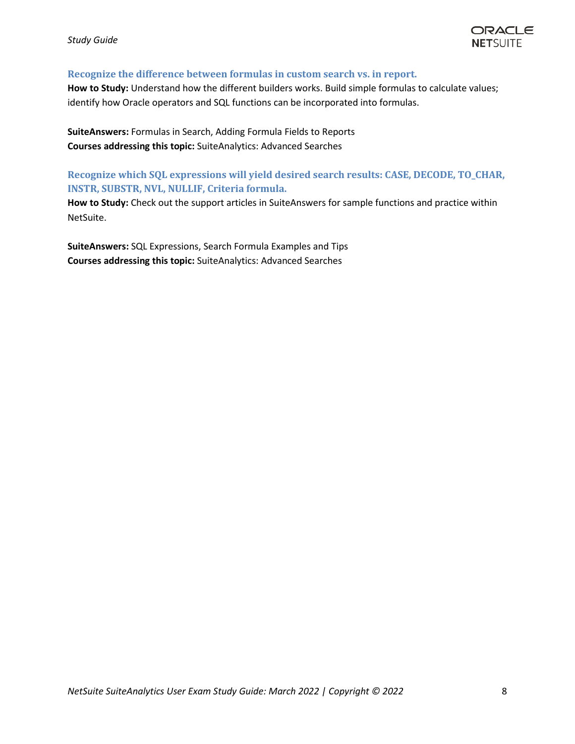#### **Recognize the difference between formulas in custom search vs. in report.**

**How to Study:** Understand how the different builders works. Build simple formulas to calculate values; identify how Oracle operators and SQL functions can be incorporated into formulas.

**SuiteAnswers:** Formulas in Search, Adding Formula Fields to Reports **Courses addressing this topic:** SuiteAnalytics: Advanced Searches

**Recognize which SQL expressions will yield desired search results: CASE, DECODE, TO\_CHAR, INSTR, SUBSTR, NVL, NULLIF, Criteria formula.**

**How to Study:** Check out the support articles in SuiteAnswers for sample functions and practice within NetSuite.

**SuiteAnswers:** SQL Expressions, Search Formula Examples and Tips **Courses addressing this topic:** SuiteAnalytics: Advanced Searches